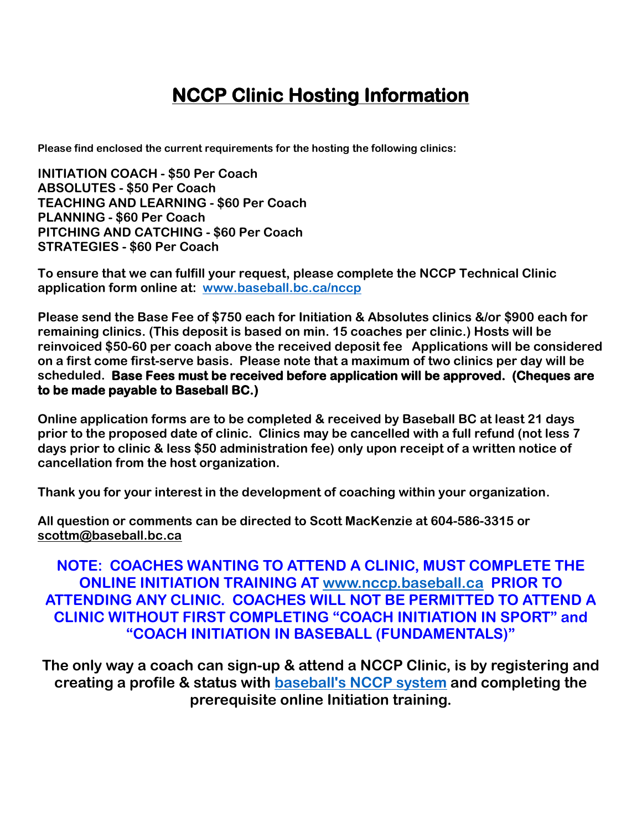# **NCCP Clinic Hosting Information**

**Please find enclosed the current requirements for the hosting the following clinics:**

**INITIATION COACH - \$50 Per Coach ABSOLUTES - \$50 Per Coach TEACHING AND LEARNING - \$60 Per Coach PLANNING - \$60 Per Coach PITCHING AND CATCHING - \$60 Per Coach STRATEGIES - \$60 Per Coach**

**To ensure that we can fulfill your request, please complete the NCCP Technical Clinic application form online at: [www.baseball.bc.ca/nccp](http://www.baseball.bc.ca/nccp)**

**Please send the Base Fee of \$750 each for Initiation & Absolutes clinics &/or \$900 each for remaining clinics. (This deposit is based on min. 15 coaches per clinic.) Hosts will be reinvoiced \$50-60 per coach above the received deposit fee Applications will be considered on a first come first-serve basis. Please note that a maximum of two clinics per day will be scheduled. Base Fees must be received before application will be approved. (Cheques are to be made payable to Baseball BC.)** 

**Online application forms are to be completed & received by Baseball BC at least 21 days prior to the proposed date of clinic. Clinics may be cancelled with a full refund (not less 7 days prior to clinic & less \$50 administration fee) only upon receipt of a written notice of cancellation from the host organization.** 

**Thank you for your interest in the development of coaching within your organization.**

**All question or comments can be directed to Scott MacKenzie at 604-586-3315 or scottm@baseball.bc.ca**

**NOTE: COACHES WANTING TO ATTEND A CLINIC, MUST COMPLETE THE ONLINE INITIATION TRAINING AT [www.nccp.baseball.ca](http://www.nccp.baseball.ca/) PRIOR TO ATTENDING ANY CLINIC. COACHES WILL NOT BE PERMITTED TO ATTEND A CLINIC WITHOUT FIRST COMPLETING "COACH INITIATION IN SPORT" and "COACH INITIATION IN BASEBALL (FUNDAMENTALS)"**

**The only way a coach can sign-up & attend a NCCP Clinic, is by registering and creating a profile & status with [baseball's NCCP system](http://www.nccp.baseball.ca/) and completing the prerequisite online Initiation training.**